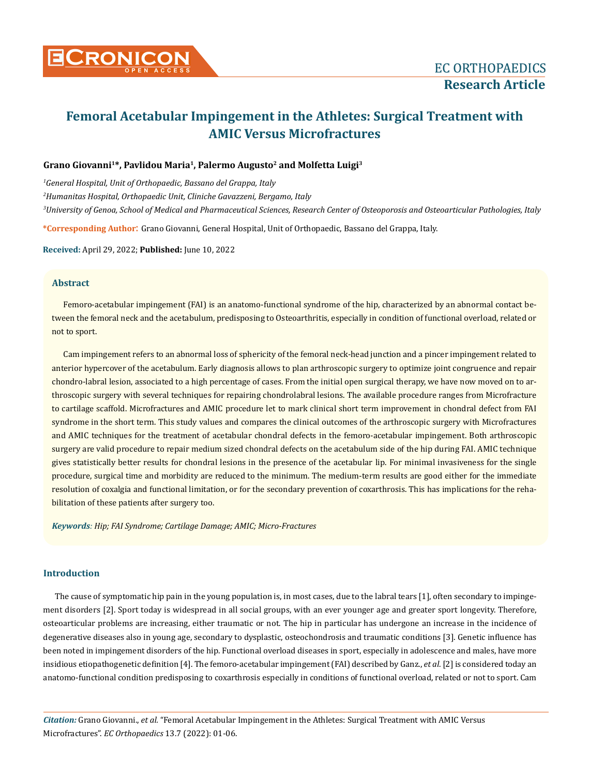

# **Femoral Acetabular Impingement in the Athletes: Surgical Treatment with AMIC Versus Microfractures**

# **Grano Giovanni1\*, Pavlidou Maria1, Palermo Augusto2 and Molfetta Luigi3**

*1 General Hospital, Unit of Orthopaedic, Bassano del Grappa, Italy 2 Humanitas Hospital, Orthopaedic Unit, Cliniche Gavazzeni, Bergamo, Italy 3 University of Genoa, School of Medical and Pharmaceutical Sciences, Research Center of Osteoporosis and Osteoarticular Pathologies, Italy*

**\*Corresponding Author**: Grano Giovanni, General Hospital, Unit of Orthopaedic, Bassano del Grappa, Italy.

**Received:** April 29, 2022; **Published:** June 10, 2022

## **Abstract**

Femoro-acetabular impingement (FAI) is an anatomo-functional syndrome of the hip, characterized by an abnormal contact between the femoral neck and the acetabulum, predisposing to Osteoarthritis, especially in condition of functional overload, related or not to sport.

Cam impingement refers to an abnormal loss of sphericity of the femoral neck-head junction and a pincer impingement related to anterior hypercover of the acetabulum. Early diagnosis allows to plan arthroscopic surgery to optimize joint congruence and repair chondro-labral lesion, associated to a high percentage of cases. From the initial open surgical therapy, we have now moved on to arthroscopic surgery with several techniques for repairing chondrolabral lesions. The available procedure ranges from Microfracture to cartilage scaffold. Microfractures and AMIC procedure let to mark clinical short term improvement in chondral defect from FAI syndrome in the short term. This study values and compares the clinical outcomes of the arthroscopic surgery with Microfractures and AMIC techniques for the treatment of acetabular chondral defects in the femoro-acetabular impingement. Both arthroscopic surgery are valid procedure to repair medium sized chondral defects on the acetabulum side of the hip during FAI. AMIC technique gives statistically better results for chondral lesions in the presence of the acetabular lip. For minimal invasiveness for the single procedure, surgical time and morbidity are reduced to the minimum. The medium-term results are good either for the immediate resolution of coxalgia and functional limitation, or for the secondary prevention of coxarthrosis. This has implications for the rehabilitation of these patients after surgery too.

*Keywords: Hip; FAI Syndrome; Cartilage Damage; AMIC; Micro-Fractures*

# **Introduction**

The cause of symptomatic hip pain in the young population is, in most cases, due to the labral tears [1], often secondary to impingement disorders [2]. Sport today is widespread in all social groups, with an ever younger age and greater sport longevity. Therefore, osteoarticular problems are increasing, either traumatic or not. The hip in particular has undergone an increase in the incidence of degenerative diseases also in young age, secondary to dysplastic, osteochondrosis and traumatic conditions [3]. Genetic influence has been noted in impingement disorders of the hip. Functional overload diseases in sport, especially in adolescence and males, have more insidious etiopathogenetic definition [4]. The femoro-acetabular impingement (FAI) described by Ganz., *et al*. [2] is considered today an anatomo-functional condition predisposing to coxarthrosis especially in conditions of functional overload, related or not to sport. Cam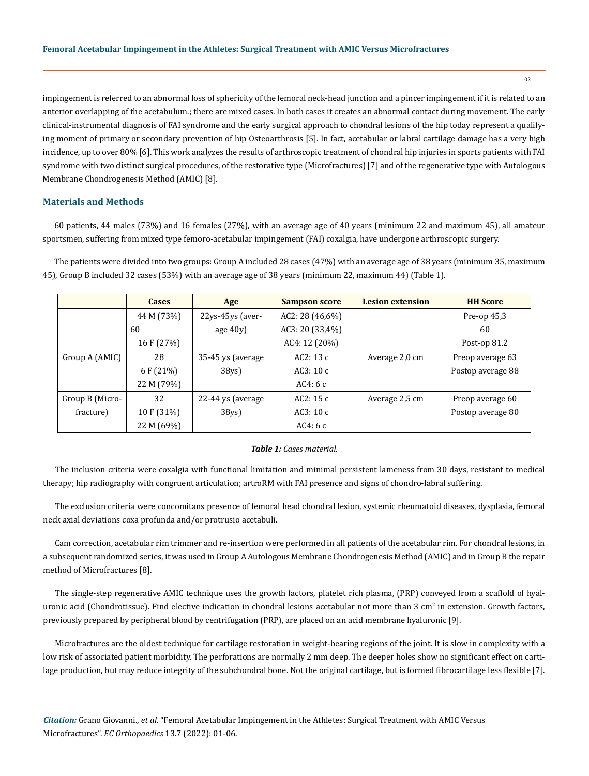impingement is referred to an abnormal loss of sphericity of the femoral neck-head junction and a pincer impingement if it is related to an anterior overlapping of the acetabulum.; there are mixed cases. In both cases it creates an abnormal contact during movement. The early clinical-instrumental diagnosis of FAI syndrome and the early surgical approach to chondral lesions of the hip today represent a qualifying moment of primary or secondary prevention of hip Osteoarthrosis [5]. In fact, acetabular or labral cartilage damage has a very high incidence, up to over 80% [6]. This work analyzes the results of arthroscopic treatment of chondral hip injuries in sports patients with FAI syndrome with two distinct surgical procedures, of the restorative type (Microfractures) [7] and of the regenerative type with Autologous Membrane Chondrogenesis Method (AMIC) [8].

#### **Materials and Methods**

60 patients, 44 males (73%) and 16 females (27%), with an average age of 40 years (minimum 22 and maximum 45), all amateur sportsmen, suffering from mixed type femoro-acetabular impingement (FAI) coxalgia, have undergone arthroscopic surgery.

The patients were divided into two groups: Group A included 28 cases (47%) with an average age of 38 years (minimum 35, maximum 45), Group B included 32 cases (53%) with an average age of 38 years (minimum 22, maximum 44) (Table 1).

|                 | <b>Cases</b> | Age               | <b>Sampson score</b> | <b>Lesion extension</b> | <b>HH</b> Score   |
|-----------------|--------------|-------------------|----------------------|-------------------------|-------------------|
|                 | 44 M (73%)   | 22ys-45ys (aver-  | AC2: 28(46,6%)       |                         | Pre-op $45,3$     |
|                 | 60           | age $40y$         | AC3: 20 (33,4%)      |                         | 60                |
|                 | 16 F (27%)   |                   | AC4: 12 (20%)        |                         | Post-op $81.2$    |
| Group A (AMIC)  | 28           | 35-45 ys (average | AC2:13c              | Average 2,0 cm          | Preop average 63  |
|                 | 6 F (21%)    | 38 <sub>ys</sub>  | AC3: $10c$           |                         | Postop average 88 |
|                 | 22 M (79%)   |                   | AC4: $6c$            |                         |                   |
| Group B (Micro- | 32           | 22-44 ys (average | AC2:15c              | Average 2,5 cm          | Preop average 60  |
| fracture)       | 10 F (31%)   | 38 <sub>ys</sub>  | AC3:10c              |                         | Postop average 80 |
|                 | 22 M (69%)   |                   | AC4:6c               |                         |                   |

#### *Table 1: Cases material.*

The inclusion criteria were coxalgia with functional limitation and minimal persistent lameness from 30 days, resistant to medical therapy; hip radiography with congruent articulation; artroRM with FAI presence and signs of chondro-labral suffering.

The exclusion criteria were concomitans presence of femoral head chondral lesion, systemic rheumatoid diseases, dysplasia, femoral neck axial deviations coxa profunda and/or protrusio acetabuli.

Cam correction, acetabular rim trimmer and re-insertion were performed in all patients of the acetabular rim. For chondral lesions, in a subsequent randomized series, it was used in Group A Autologous Membrane Chondrogenesis Method (AMIC) and in Group B the repair method of Microfractures [8].

The single-step regenerative AMIC technique uses the growth factors, platelet rich plasma, (PRP) conveyed from a scaffold of hyaluronic acid (Chondrotissue). Find elective indication in chondral lesions acetabular not more than 3 cm<sup>2</sup> in extension. Growth factors, previously prepared by peripheral blood by centrifugation (PRP), are placed on an acid membrane hyaluronic [9].

Microfractures are the oldest technique for cartilage restoration in weight-bearing regions of the joint. It is slow in complexity with a low risk of associated patient morbidity. The perforations are normally 2 mm deep. The deeper holes show no significant effect on cartilage production, but may reduce integrity of the subchondral bone. Not the original cartilage, but is formed fibrocartilage less flexible [7].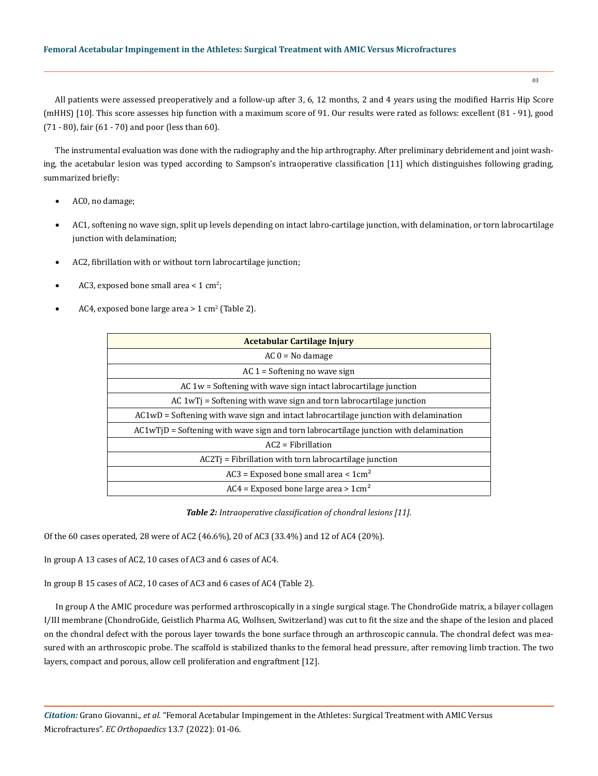### **Femoral Acetabular Impingement in the Athletes: Surgical Treatment with AMIC Versus Microfractures**

03

All patients were assessed preoperatively and a follow-up after 3, 6, 12 months, 2 and 4 years using the modified Harris Hip Score (mHHS) [10]. This score assesses hip function with a maximum score of 91. Our results were rated as follows: excellent (81 - 91), good (71 - 80), fair (61 - 70) and poor (less than 60).

The instrumental evaluation was done with the radiography and the hip arthrography. After preliminary debridement and joint washing, the acetabular lesion was typed according to Sampson's intraoperative classification [11] which distinguishes following grading, summarized briefly:

- AC0, no damage;
- AC1, softening no wave sign, split up levels depending on intact labro-cartilage junction, with delamination, or torn labrocartilage junction with delamination;
- AC2, fibrillation with or without torn labrocartilage junction;
- AC3, exposed bone small area <  $1 \text{ cm}^2$ ;
- AC4, exposed bone large area >  $1 \text{ cm}^2$  (Table 2).

| Acetabular Cartilage Injury                                                              |  |  |  |  |  |
|------------------------------------------------------------------------------------------|--|--|--|--|--|
| $AC 0 = No$ damage                                                                       |  |  |  |  |  |
| $AC_1$ = Softening no wave sign                                                          |  |  |  |  |  |
| AC $1w =$ Softening with wave sign intact labrocartilage junction                        |  |  |  |  |  |
| $AC 1wT$ = Softening with wave sign and torn labrocartilage junction                     |  |  |  |  |  |
| $AC1WD = Softening$ with wave sign and intact labrocartilage junction with delamination  |  |  |  |  |  |
| $AC1w$ TjD = Softening with wave sign and torn labrocartilage junction with delamination |  |  |  |  |  |
| $AC2 = Fibrillation$                                                                     |  |  |  |  |  |
| $AC2Ti$ = Fibrillation with torn labrocartilage junction                                 |  |  |  |  |  |
| $AC3$ = Exposed bone small area < $1cm2$                                                 |  |  |  |  |  |
| $AC4$ = Exposed bone large area > 1cm <sup>2</sup>                                       |  |  |  |  |  |

*Table 2: Intraoperative classification of chondral lesions [11].*

Of the 60 cases operated, 28 were of AC2 (46.6%), 20 of AC3 (33.4%) and 12 of AC4 (20%).

In group A 13 cases of AC2, 10 cases of AC3 and 6 cases of AC4.

In group B 15 cases of AC2, 10 cases of AC3 and 6 cases of AC4 (Table 2).

In group A the AMIC procedure was performed arthroscopically in a single surgical stage. The ChondroGide matrix, a bilayer collagen I/III membrane (ChondroGide, Geistlich Pharma AG, Wolhsen, Switzerland) was cut to fit the size and the shape of the lesion and placed on the chondral defect with the porous layer towards the bone surface through an arthroscopic cannula. The chondral defect was measured with an arthroscopic probe. The scaffold is stabilized thanks to the femoral head pressure, after removing limb traction. The two layers, compact and porous, allow cell proliferation and engraftment [12].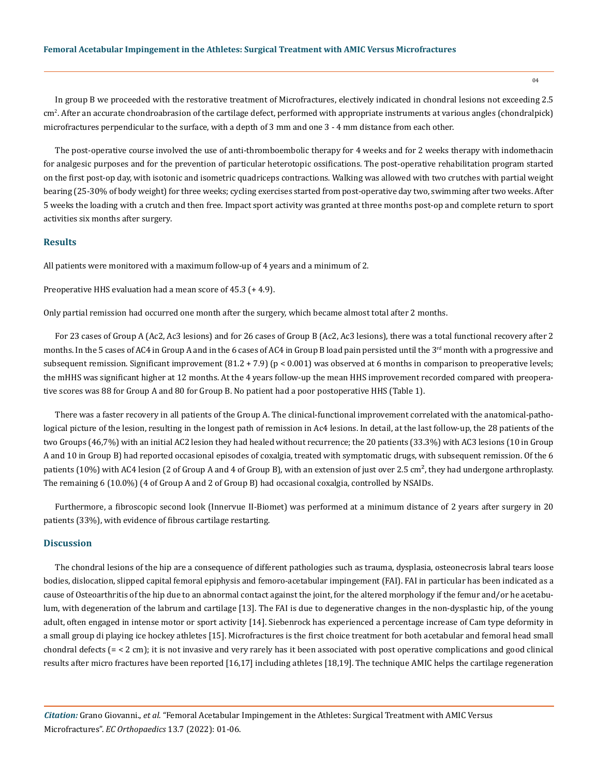In group B we proceeded with the restorative treatment of Microfractures, electively indicated in chondral lesions not exceeding 2.5 cm2 . After an accurate chondroabrasion of the cartilage defect, performed with appropriate instruments at various angles (chondralpick) microfractures perpendicular to the surface, with a depth of 3 mm and one 3 - 4 mm distance from each other.

The post-operative course involved the use of anti-thromboembolic therapy for 4 weeks and for 2 weeks therapy with indomethacin for analgesic purposes and for the prevention of particular heterotopic ossifications. The post-operative rehabilitation program started on the first post-op day, with isotonic and isometric quadriceps contractions. Walking was allowed with two crutches with partial weight bearing (25-30% of body weight) for three weeks; cycling exercises started from post-operative day two, swimming after two weeks. After 5 weeks the loading with a crutch and then free. Impact sport activity was granted at three months post-op and complete return to sport activities six months after surgery.

## **Results**

All patients were monitored with a maximum follow-up of 4 years and a minimum of 2.

Preoperative HHS evaluation had a mean score of 45.3 (+ 4.9).

Only partial remission had occurred one month after the surgery, which became almost total after 2 months.

For 23 cases of Group A (Ac2, Ac3 lesions) and for 26 cases of Group B (Ac2, Ac3 lesions), there was a total functional recovery after 2 months. In the 5 cases of AC4 in Group A and in the 6 cases of AC4 in Group B load pain persisted until the 3<sup>rd</sup> month with a progressive and subsequent remission. Significant improvement (81.2 + 7.9) (p < 0.001) was observed at 6 months in comparison to preoperative levels; the mHHS was significant higher at 12 months. At the 4 years follow-up the mean HHS improvement recorded compared with preoperative scores was 88 for Group A and 80 for Group B. No patient had a poor postoperative HHS (Table 1).

There was a faster recovery in all patients of the Group A. The clinical-functional improvement correlated with the anatomical-pathological picture of the lesion, resulting in the longest path of remission in Ac4 lesions. In detail, at the last follow-up, the 28 patients of the two Groups (46,7%) with an initial AC2 lesion they had healed without recurrence; the 20 patients (33.3%) with AC3 lesions (10 in Group A and 10 in Group B) had reported occasional episodes of coxalgia, treated with symptomatic drugs, with subsequent remission. Of the 6 patients (10%) with AC4 lesion (2 of Group A and 4 of Group B), with an extension of just over 2.5 cm<sup>2</sup>, they had undergone arthroplasty. The remaining 6 (10.0%) (4 of Group A and 2 of Group B) had occasional coxalgia, controlled by NSAIDs.

Furthermore, a fibroscopic second look (Innervue II-Biomet) was performed at a minimum distance of 2 years after surgery in 20 patients (33%), with evidence of fibrous cartilage restarting.

#### **Discussion**

The chondral lesions of the hip are a consequence of different pathologies such as trauma, dysplasia, osteonecrosis labral tears loose bodies, dislocation, slipped capital femoral epiphysis and femoro-acetabular impingement (FAI). FAI in particular has been indicated as a cause of Osteoarthritis of the hip due to an abnormal contact against the joint, for the altered morphology if the femur and/or he acetabulum, with degeneration of the labrum and cartilage [13]. The FAI is due to degenerative changes in the non-dysplastic hip, of the young adult, often engaged in intense motor or sport activity [14]. Siebenrock has experienced a percentage increase of Cam type deformity in a small group di playing ice hockey athletes [15]. Microfractures is the first choice treatment for both acetabular and femoral head small chondral defects (= < 2 cm); it is not invasive and very rarely has it been associated with post operative complications and good clinical results after micro fractures have been reported [16,17] including athletes [18,19]. The technique AMIC helps the cartilage regeneration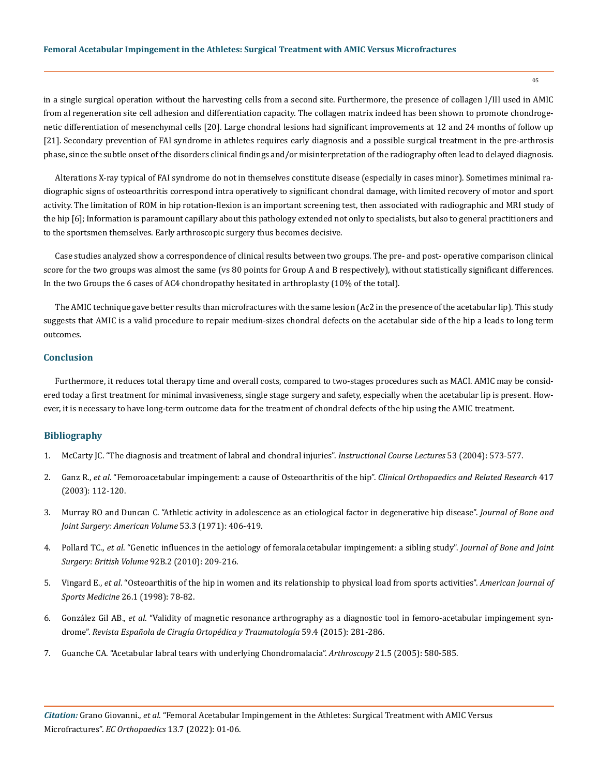in a single surgical operation without the harvesting cells from a second site. Furthermore, the presence of collagen I/III used in AMIC from al regeneration site cell adhesion and differentiation capacity. The collagen matrix indeed has been shown to promote chondrogenetic differentiation of mesenchymal cells [20]. Large chondral lesions had significant improvements at 12 and 24 months of follow up [21]. Secondary prevention of FAI syndrome in athletes requires early diagnosis and a possible surgical treatment in the pre-arthrosis phase, since the subtle onset of the disorders clinical findings and/or misinterpretation of the radiography often lead to delayed diagnosis.

Alterations X-ray typical of FAI syndrome do not in themselves constitute disease (especially in cases minor). Sometimes minimal radiographic signs of osteoarthritis correspond intra operatively to significant chondral damage, with limited recovery of motor and sport activity. The limitation of ROM in hip rotation-flexion is an important screening test, then associated with radiographic and MRI study of the hip [6]; Information is paramount capillary about this pathology extended not only to specialists, but also to general practitioners and to the sportsmen themselves. Early arthroscopic surgery thus becomes decisive.

Case studies analyzed show a correspondence of clinical results between two groups. The pre- and post- operative comparison clinical score for the two groups was almost the same (vs 80 points for Group A and B respectively), without statistically significant differences. In the two Groups the 6 cases of AC4 chondropathy hesitated in arthroplasty (10% of the total).

The AMIC technique gave better results than microfractures with the same lesion (Ac2 in the presence of the acetabular lip). This study suggests that AMIC is a valid procedure to repair medium-sizes chondral defects on the acetabular side of the hip a leads to long term outcomes.

## **Conclusion**

Furthermore, it reduces total therapy time and overall costs, compared to two-stages procedures such as MACI. AMIC may be considered today a first treatment for minimal invasiveness, single stage surgery and safety, especially when the acetabular lip is present. However, it is necessary to have long-term outcome data for the treatment of chondral defects of the hip using the AMIC treatment.

#### **Bibliography**

- 1. [McCarty JC. "The diagnosis and treatment of labral and chondral injuries".](https://pubmed.ncbi.nlm.nih.gov/15116646/) *Instructional Course Lectures* 53 (2004): 573-577.
- 2. Ganz R., *et al*[. "Femoroacetabular impingement: a cause of Osteoarthritis of the hip".](https://pubmed.ncbi.nlm.nih.gov/14646708/) *Clinical Orthopaedics and Related Research* 417 [\(2003\): 112-120.](https://pubmed.ncbi.nlm.nih.gov/14646708/)
- 3. [Murray RO and Duncan C. "Athletic activity in adolescence as an etiological factor in degenerative hip disease".](https://pubmed.ncbi.nlm.nih.gov/5562367/) *Journal of Bone and [Joint Surgery: American Volume](https://pubmed.ncbi.nlm.nih.gov/5562367/)* 53.3 (1971): 406-419.
- 4. Pollard TC., *et al*[. "Genetic influences in the aetiology of femoralacetabular impingement: a sibling study".](https://pubmed.ncbi.nlm.nih.gov/20130310/) *Journal of Bone and Joint [Surgery: British Volume](https://pubmed.ncbi.nlm.nih.gov/20130310/)* 92B.2 (2010): 209-216.
- 5. Vingard E., *et al*[. "Osteoarthitis of the hip in women and its relationship to physical load from sports activities".](https://pubmed.ncbi.nlm.nih.gov/9474406/) *American Journal of [Sports Medicine](https://pubmed.ncbi.nlm.nih.gov/9474406/)* 26.1 (1998): 78-82.
- 6. González Gil AB., *et al*[. "Validity of magnetic resonance arthrography as a diagnostic tool in femoro-acetabular impingement syn](https://pubmed.ncbi.nlm.nih.gov/25650078/)drome". *[Revista Española de Cirugía Ortopédica y Traumatología](https://pubmed.ncbi.nlm.nih.gov/25650078/)* 59.4 (2015): 281-286.
- 7. [Guanche CA. "Acetabular labral tears with underlying Chondromalacia".](https://pubmed.ncbi.nlm.nih.gov/15891725/) *Arthroscopy* 21.5 (2005): 580-585.